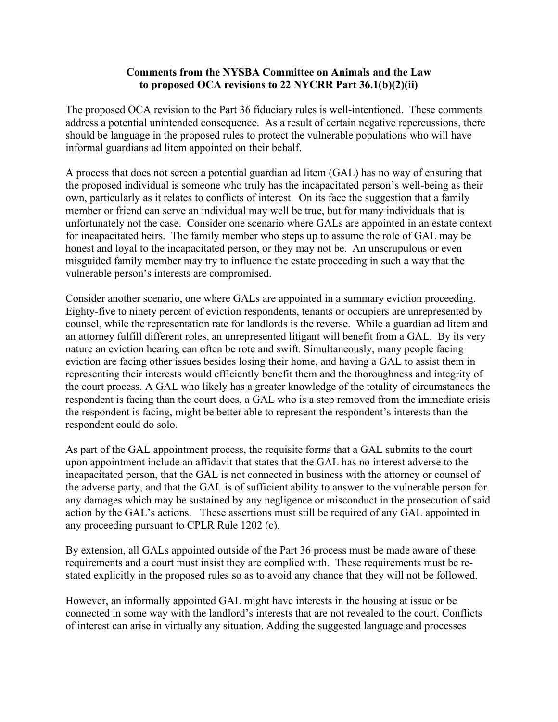## **Comments from the NYSBA Committee on Animals and the Law to proposed OCA revisions to 22 NYCRR Part 36.1(b)(2)(ii)**

The proposed OCA revision to the Part 36 fiduciary rules is well-intentioned. These comments address a potential unintended consequence. As a result of certain negative repercussions, there should be language in the proposed rules to protect the vulnerable populations who will have informal guardians ad litem appointed on their behalf.

A process that does not screen a potential guardian ad litem (GAL) has no way of ensuring that the proposed individual is someone who truly has the incapacitated person's well-being as their own, particularly as it relates to conflicts of interest. On its face the suggestion that a family member or friend can serve an individual may well be true, but for many individuals that is unfortunately not the case. Consider one scenario where GALs are appointed in an estate context for incapacitated heirs. The family member who steps up to assume the role of GAL may be honest and loyal to the incapacitated person, or they may not be. An unscrupulous or even misguided family member may try to influence the estate proceeding in such a way that the vulnerable person's interests are compromised.

Consider another scenario, one where GALs are appointed in a summary eviction proceeding. Eighty-five to ninety percent of eviction respondents, tenants or occupiers are unrepresented by counsel, while the representation rate for landlords is the reverse. While a guardian ad litem and an attorney fulfill different roles, an unrepresented litigant will benefit from a GAL. By its very nature an eviction hearing can often be rote and swift. Simultaneously, many people facing eviction are facing other issues besides losing their home, and having a GAL to assist them in representing their interests would efficiently benefit them and the thoroughness and integrity of the court process. A GAL who likely has a greater knowledge of the totality of circumstances the respondent is facing than the court does, a GAL who is a step removed from the immediate crisis the respondent is facing, might be better able to represent the respondent's interests than the respondent could do solo.

As part of the GAL appointment process, the requisite forms that a GAL submits to the court upon appointment include an affidavit that states that the GAL has no interest adverse to the incapacitated person, that the GAL is not connected in business with the attorney or counsel of the adverse party, and that the GAL is of sufficient ability to answer to the vulnerable person for any damages which may be sustained by any negligence or misconduct in the prosecution of said action by the GAL's actions. These assertions must still be required of any GAL appointed in any proceeding pursuant to CPLR Rule 1202 (c).

By extension, all GALs appointed outside of the Part 36 process must be made aware of these requirements and a court must insist they are complied with. These requirements must be restated explicitly in the proposed rules so as to avoid any chance that they will not be followed.

However, an informally appointed GAL might have interests in the housing at issue or be connected in some way with the landlord's interests that are not revealed to the court. Conflicts of interest can arise in virtually any situation. Adding the suggested language and processes